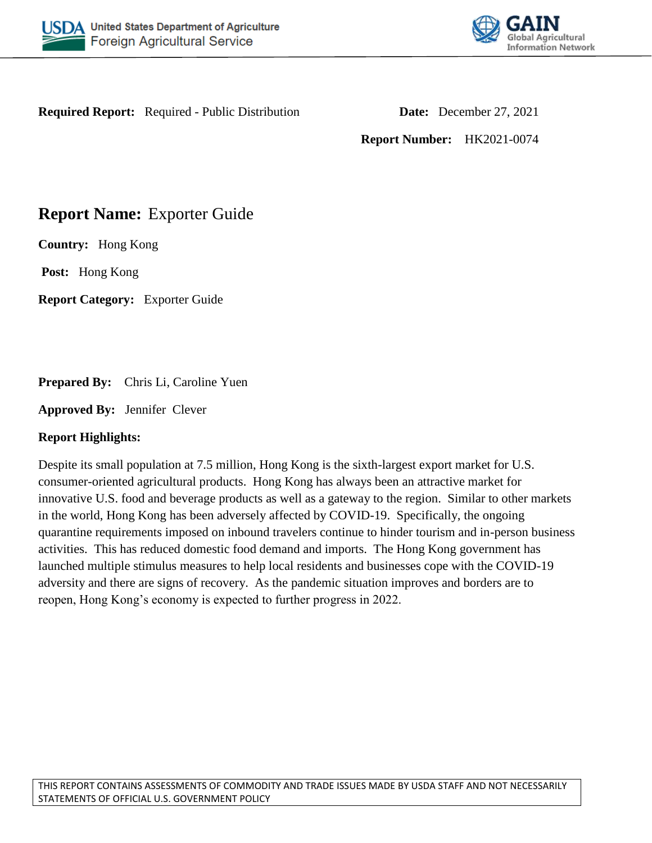



**Required Report:** Required - Public Distribution **Date:** December 27, 2021

**Report Number:** HK2021-0074

# **Report Name:** Exporter Guide

**Country:** Hong Kong

**Post:** Hong Kong

**Report Category:** Exporter Guide

**Prepared By:** Chris Li, Caroline Yuen

**Approved By:** Jennifer Clever

# **Report Highlights:**

Despite its small population at 7.5 million, Hong Kong is the sixth-largest export market for U.S. consumer-oriented agricultural products. Hong Kong has always been an attractive market for innovative U.S. food and beverage products as well as a gateway to the region. Similar to other markets in the world, Hong Kong has been adversely affected by COVID-19. Specifically, the ongoing quarantine requirements imposed on inbound travelers continue to hinder tourism and in-person business activities. This has reduced domestic food demand and imports. The Hong Kong government has launched multiple stimulus measures to help local residents and businesses cope with the COVID-19 adversity and there are signs of recovery. As the pandemic situation improves and borders are to reopen, Hong Kong's economy is expected to further progress in 2022.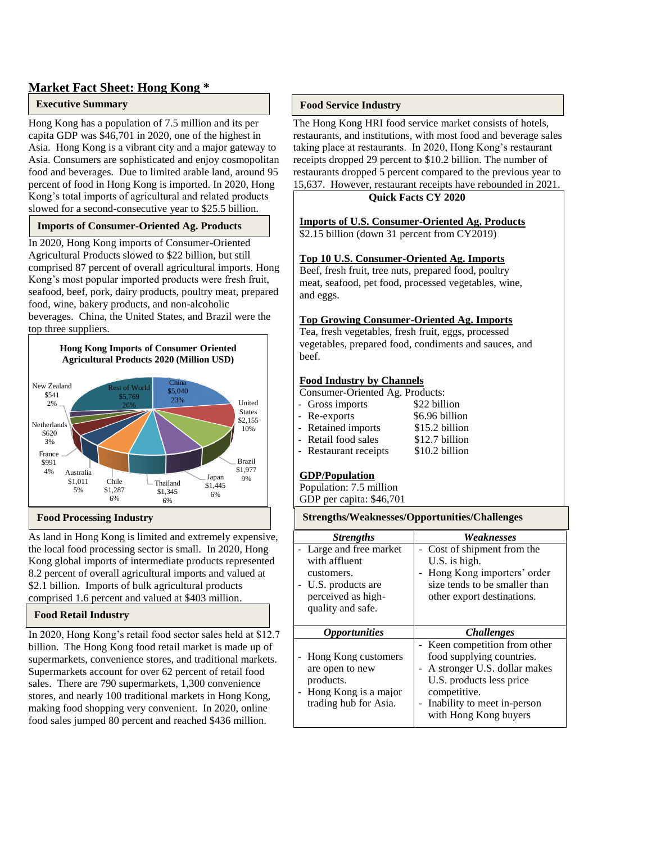# **Market Fact Sheet: Hong Kong \***

#### **Executive Summary**

Hong Kong has a population of 7.5 million and its per capita GDP was \$46,701 in 2020, one of the highest in Asia. Hong Kong is a vibrant city and a major gateway to Asia. Consumers are sophisticated and enjoy cosmopolitan food and beverages. Due to limited arable land, around 95 percent of food in Hong Kong is imported. In 2020, Hong Kong's total imports of agricultural and related products slowed for a second-consecutive year to \$25.5 billion.

#### **Imports of Consumer-Oriented Ag. Products**

In 2020, Hong Kong imports of Consumer-Oriented Agricultural Products slowed to \$22 billion, but still comprised 87 percent of overall agricultural imports. Hong Kong's most popular imported products were fresh fruit, seafood, beef, pork, dairy products, poultry meat, prepared food, wine, bakery products, and non-alcoholic beverages. China, the United States, and Brazil were the top three suppliers.



As land in Hong Kong is limited and extremely expensive, the local food processing sector is small. In 2020, Hong Kong global imports of intermediate products represented 8.2 percent of overall agricultural imports and valued at \$2.1 billion. Imports of bulk agricultural products comprised 1.6 percent and valued at \$403 million.

#### **Food Retail Industry**

In 2020, Hong Kong's retail food sector sales held at \$12.7 billion. The Hong Kong food retail market is made up of supermarkets, convenience stores, and traditional markets. Supermarkets account for over 62 percent of retail food sales. There are 790 supermarkets, 1,300 convenience stores, and nearly 100 traditional markets in Hong Kong, making food shopping very convenient. In 2020, online food sales jumped 80 percent and reached \$436 million.

#### **Food Service Industry**

The Hong Kong HRI food service market consists of hotels, restaurants, and institutions, with most food and beverage sales taking place at restaurants. In 2020, Hong Kong's restaurant receipts dropped 29 percent to \$10.2 billion. The number of restaurants dropped 5 percent compared to the previous year to 15,637. However, restaurant receipts have rebounded in 2021.

#### **Quick Facts CY 2020**

#### **Imports of U.S. Consumer-Oriented Ag. Products**

\$2.15 billion (down 31 percent from CY2019)

#### **Top 10 U.S. Consumer-Oriented Ag. Imports**

Beef, fresh fruit, tree nuts, prepared food, poultry meat, seafood, pet food, processed vegetables, wine, and eggs.

#### **Top Growing Consumer-Oriented Ag. Imports**

Tea, fresh vegetables, fresh fruit, eggs, processed vegetables, prepared food, condiments and sauces, and beef.

#### **Food Industry by Channels**

| Consumer-Oriented Ag. Products: |                |
|---------------------------------|----------------|
| - Gross imports                 | \$22 billion   |
| - Re-exports                    | \$6.96 billion |
| - Retained imports              | \$15.2 billion |
| - Retail food sales             | \$12.7 billion |
| - Restaurant receipts           | \$10.2 billion |

#### **GDP/Population**

Population: 7.5 million

GDP per capita: \$46,701

#### **Food Processing Industry Strengths/Weaknesses/Opportunities/Challenges**

| <b>Strengths</b>                                                                                                       | Weaknesses                                                                                                                                                                                       |
|------------------------------------------------------------------------------------------------------------------------|--------------------------------------------------------------------------------------------------------------------------------------------------------------------------------------------------|
| - Large and free market<br>with affluent<br>customers.<br>U.S. products are<br>perceived as high-<br>quality and safe. | Cost of shipment from the<br>U.S. is high.<br>Hong Kong importers' order<br>size tends to be smaller than<br>other export destinations.                                                          |
| <i><b>Opportunities</b></i>                                                                                            | <i>Challenges</i>                                                                                                                                                                                |
| - Hong Kong customers<br>are open to new<br>products.<br>- Hong Kong is a major<br>trading hub for Asia.               | - Keen competition from other<br>food supplying countries.<br>- A stronger U.S. dollar makes<br>U.S. products less price<br>competitive.<br>Inability to meet in-person<br>with Hong Kong buyers |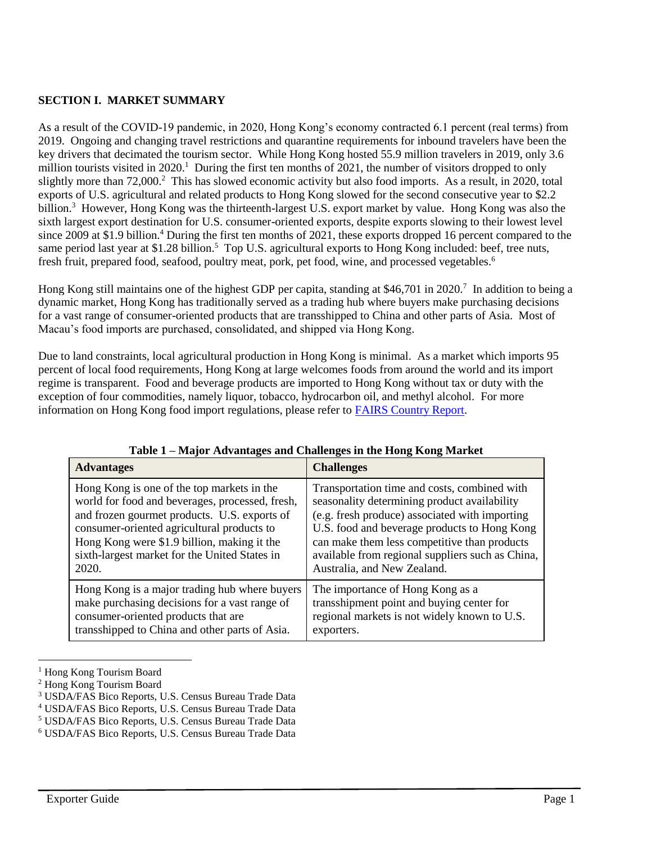#### **SECTION I. MARKET SUMMARY**

As a result of the COVID-19 pandemic, in 2020, Hong Kong's economy contracted 6.1 percent (real terms) from 2019. Ongoing and changing travel restrictions and quarantine requirements for inbound travelers have been the key drivers that decimated the tourism sector. While Hong Kong hosted 55.9 million travelers in 2019, only 3.6 million tourists visited in  $2020$ .<sup>1</sup> During the first ten months of  $2021$ , the number of visitors dropped to only slightly more than 72,000.<sup>2</sup> This has slowed economic activity but also food imports. As a result, in 2020, total exports of U.S. agricultural and related products to Hong Kong slowed for the second consecutive year to \$2.2 billion.<sup>3</sup> However, Hong Kong was the thirteenth-largest U.S. export market by value. Hong Kong was also the sixth largest export destination for U.S. consumer-oriented exports, despite exports slowing to their lowest level since 2009 at \$1.9 billion.<sup>4</sup> During the first ten months of 2021, these exports dropped 16 percent compared to the same period last year at \$1.28 billion.<sup>5</sup> Top U.S. agricultural exports to Hong Kong included: beef, tree nuts, fresh fruit, prepared food, seafood, poultry meat, pork, pet food, wine, and processed vegetables.<sup>6</sup>

Hong Kong still maintains one of the highest GDP per capita, standing at \$46,701 in 2020.<sup>7</sup> In addition to being a dynamic market, Hong Kong has traditionally served as a trading hub where buyers make purchasing decisions for a vast range of consumer-oriented products that are transshipped to China and other parts of Asia. Most of Macau's food imports are purchased, consolidated, and shipped via Hong Kong.

Due to land constraints, local agricultural production in Hong Kong is minimal. As a market which imports 95 percent of local food requirements, Hong Kong at large welcomes foods from around the world and its import regime is transparent. Food and beverage products are imported to Hong Kong without tax or duty with the exception of four commodities, namely liquor, tobacco, hydrocarbon oil, and methyl alcohol. For more information on Hong Kong food import regulations, please refer to [FAIRS Country Report.](https://www.fas.usda.gov/data/hong-kong-food-and-agricultural-import-regulations-and-standards-country-report)

| <b>Advantages</b>                               | <b>Challenges</b>                                |
|-------------------------------------------------|--------------------------------------------------|
| Hong Kong is one of the top markets in the      | Transportation time and costs, combined with     |
| world for food and beverages, processed, fresh, | seasonality determining product availability     |
| and frozen gourmet products. U.S. exports of    | (e.g. fresh produce) associated with importing   |
| consumer-oriented agricultural products to      | U.S. food and beverage products to Hong Kong     |
| Hong Kong were \$1.9 billion, making it the     | can make them less competitive than products     |
| sixth-largest market for the United States in   | available from regional suppliers such as China, |
| 2020.                                           | Australia, and New Zealand.                      |
| Hong Kong is a major trading hub where buyers   | The importance of Hong Kong as a                 |
| make purchasing decisions for a vast range of   | transshipment point and buying center for        |
| consumer-oriented products that are             | regional markets is not widely known to U.S.     |
| transshipped to China and other parts of Asia.  | exporters.                                       |

**Table 1 – Major Advantages and Challenges in the Hong Kong Market**

<sup>&</sup>lt;sup>1</sup> Hong Kong Tourism Board

<sup>2</sup> Hong Kong Tourism Board

<sup>3</sup> USDA/FAS Bico Reports, U.S. Census Bureau Trade Data

<sup>4</sup> USDA/FAS Bico Reports, U.S. Census Bureau Trade Data

<sup>5</sup> USDA/FAS Bico Reports, U.S. Census Bureau Trade Data

<sup>6</sup> USDA/FAS Bico Reports, U.S. Census Bureau Trade Data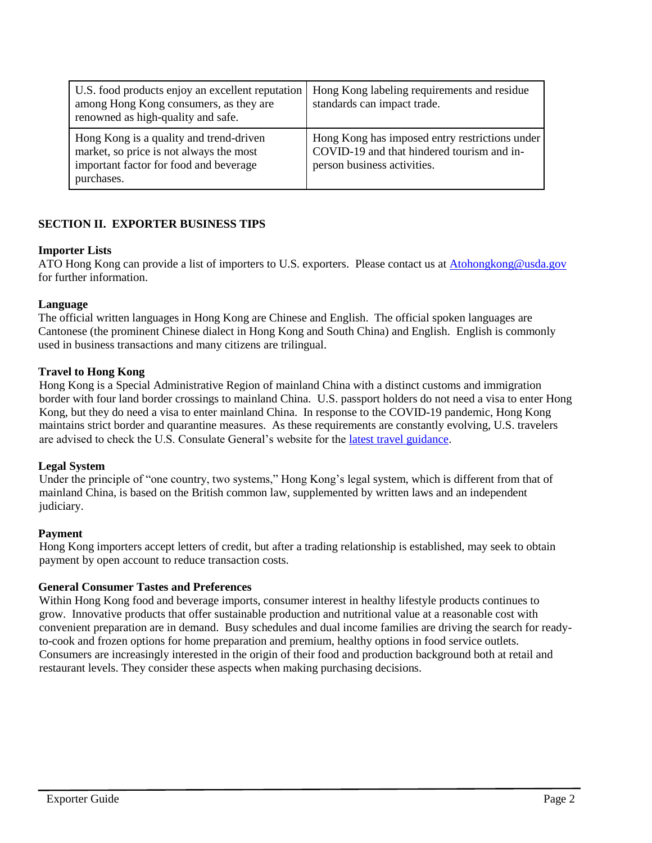| U.S. food products enjoy an excellent reputation<br>among Hong Kong consumers, as they are<br>renowned as high-quality and safe.           | Hong Kong labeling requirements and residue<br>standards can impact trade.                                                  |
|--------------------------------------------------------------------------------------------------------------------------------------------|-----------------------------------------------------------------------------------------------------------------------------|
| Hong Kong is a quality and trend-driven<br>market, so price is not always the most<br>important factor for food and beverage<br>purchases. | Hong Kong has imposed entry restrictions under<br>COVID-19 and that hindered tourism and in-<br>person business activities. |

# **SECTION II. EXPORTER BUSINESS TIPS**

#### **Importer Lists**

ATO Hong Kong can provide a list of importers to U.S. exporters. Please contact us at [Atohongkong@usda.gov](mailto:Atohongkong@usda.gov) for further information.

#### **Language**

The official written languages in Hong Kong are Chinese and English. The official spoken languages are Cantonese (the prominent Chinese dialect in Hong Kong and South China) and English. English is commonly used in business transactions and many citizens are trilingual.

#### **Travel to Hong Kong**

Hong Kong is a Special Administrative Region of mainland China with a distinct customs and immigration border with four land border crossings to mainland China. U.S. passport holders do not need a visa to enter Hong Kong, but they do need a visa to enter mainland China. In response to the COVID-19 pandemic, Hong Kong maintains strict border and quarantine measures. As these requirements are constantly evolving, U.S. travelers are advised to check the U.S. Consulate General's website for the [latest travel guidance.](https://hk.usconsulate.gov/covid-19-information/)

#### **Legal System**

Under the principle of "one country, two systems," Hong Kong's legal system, which is different from that of mainland China, is based on the British common law, supplemented by written laws and an independent judiciary.

#### **Payment**

Hong Kong importers accept letters of credit, but after a trading relationship is established, may seek to obtain payment by open account to reduce transaction costs.

#### **General Consumer Tastes and Preferences**

Within Hong Kong food and beverage imports, consumer interest in healthy lifestyle products continues to grow. Innovative products that offer sustainable production and nutritional value at a reasonable cost with convenient preparation are in demand. Busy schedules and dual income families are driving the search for readyto-cook and frozen options for home preparation and premium, healthy options in food service outlets. Consumers are increasingly interested in the origin of their food and production background both at retail and restaurant levels. They consider these aspects when making purchasing decisions.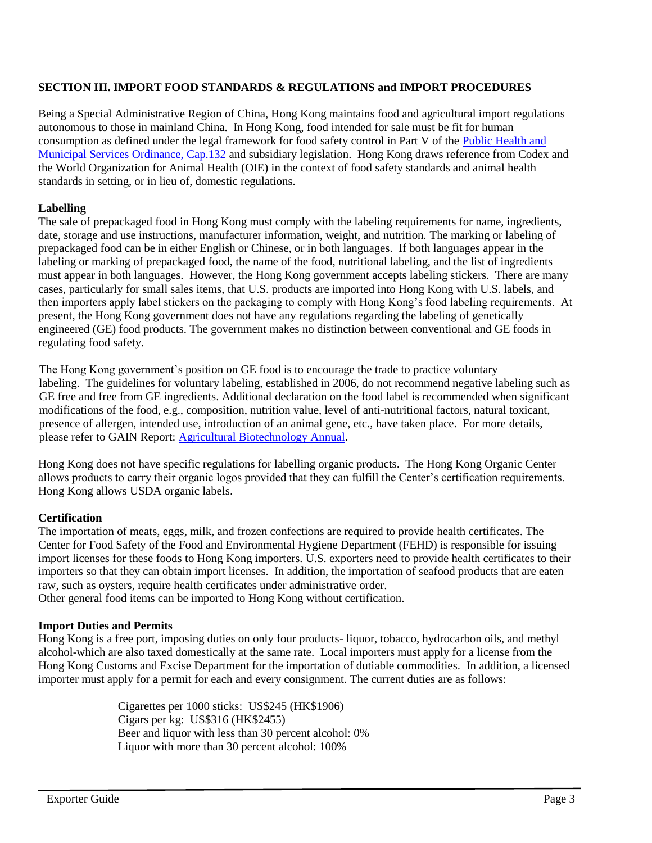# **SECTION III. IMPORT FOOD STANDARDS & REGULATIONS and IMPORT PROCEDURES**

Being a Special Administrative Region of China, Hong Kong maintains food and agricultural import regulations autonomous to those in mainland China. In Hong Kong, food intended for sale must be fit for human consumption as defined under the legal framework for food safety control in Part V of the [Public Health and](https://www.elegislation.gov.hk/hk/cap132)  [Municipal Services Ordinance, Cap.132](https://www.elegislation.gov.hk/hk/cap132) and subsidiary legislation. Hong Kong draws reference from Codex and the World Organization for Animal Health (OIE) in the context of food safety standards and animal health standards in setting, or in lieu of, domestic regulations.

#### **Labelling**

The sale of prepackaged food in Hong Kong must comply with the labeling requirements for name, ingredients, date, storage and use instructions, manufacturer information, weight, and nutrition. The marking or labeling of prepackaged food can be in either English or Chinese, or in both languages. If both languages appear in the labeling or marking of prepackaged food, the name of the food, nutritional labeling, and the list of ingredients must appear in both languages. However, the Hong Kong government accepts labeling stickers. There are many cases, particularly for small sales items, that U.S. products are imported into Hong Kong with U.S. labels, and then importers apply label stickers on the packaging to comply with Hong Kong's food labeling requirements. At present, the Hong Kong government does not have any regulations regarding the labeling of genetically engineered (GE) food products. The government makes no distinction between conventional and GE foods in regulating food safety.

The Hong Kong government's position on GE food is to encourage the trade to practice voluntary labeling. The guidelines for voluntary labeling, established in 2006, do not recommend negative labeling such as GE free and free from GE ingredients. Additional declaration on the food label is recommended when significant modifications of the food, e.g., composition, nutrition value, level of anti-nutritional factors, natural toxicant, presence of allergen, intended use, introduction of an animal gene, etc., have taken place. For more details, please refer to GAIN Report: [Agricultural Biotechnology Annual.](https://www.fas.usda.gov/data/hong-kong-agricultural-biotechnology-annual-5)

Hong Kong does not have specific regulations for labelling organic products. The Hong Kong Organic Center allows products to carry their organic logos provided that they can fulfill the Center's certification requirements. Hong Kong allows USDA organic labels.

#### **Certification**

The importation of meats, eggs, milk, and frozen confections are required to provide health certificates. The Center for Food Safety of the Food and Environmental Hygiene Department (FEHD) is responsible for issuing import licenses for these foods to Hong Kong importers. U.S. exporters need to provide health certificates to their importers so that they can obtain import licenses. In addition, the importation of seafood products that are eaten raw, such as oysters, require health certificates under administrative order. Other general food items can be imported to Hong Kong without certification.

#### **Import Duties and Permits**

Hong Kong is a free port, imposing duties on only four products- liquor, tobacco, hydrocarbon oils, and methyl alcohol-which are also taxed domestically at the same rate. Local importers must apply for a license from the Hong Kong Customs and Excise Department for the importation of dutiable commodities. In addition, a licensed importer must apply for a permit for each and every consignment. The current duties are as follows:

> Cigarettes per 1000 sticks: US\$245 (HK\$1906) Cigars per kg: US\$316 (HK\$2455) Beer and liquor with less than 30 percent alcohol: 0% Liquor with more than 30 percent alcohol: 100%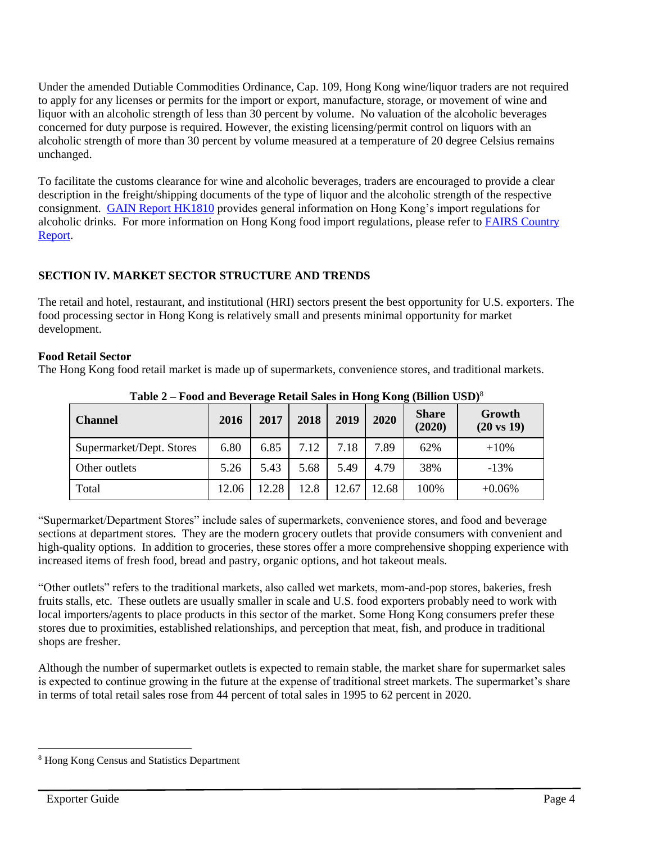Under the amended Dutiable Commodities Ordinance, Cap. 109, Hong Kong wine/liquor traders are not required to apply for any licenses or permits for the import or export, manufacture, storage, or movement of wine and liquor with an alcoholic strength of less than 30 percent by volume. No valuation of the alcoholic beverages concerned for duty purpose is required. However, the existing licensing/permit control on liquors with an alcoholic strength of more than 30 percent by volume measured at a temperature of 20 degree Celsius remains unchanged.

To facilitate the customs clearance for wine and alcoholic beverages, traders are encouraged to provide a clear description in the freight/shipping documents of the type of liquor and the alcoholic strength of the respective consignment. [GAIN Report HK1810](https://www.fas.usda.gov/data/hong-kong-import-regulations-alcoholic-drinks-hong-kong-and-macau) provides general information on Hong Kong's import regulations for alcoholic drinks. For more information on Hong Kong food import regulations, please refer to [FAIRS Country](https://www.fas.usda.gov/data/hong-kong-food-and-agricultural-import-regulations-and-standards-country-report)  [Report.](https://www.fas.usda.gov/data/hong-kong-food-and-agricultural-import-regulations-and-standards-country-report)

# **SECTION IV. MARKET SECTOR STRUCTURE AND TRENDS**

The retail and hotel, restaurant, and institutional (HRI) sectors present the best opportunity for U.S. exporters. The food processing sector in Hong Kong is relatively small and presents minimal opportunity for market development.

# **Food Retail Sector**

The Hong Kong food retail market is made up of supermarkets, convenience stores, and traditional markets.

| <b>Channel</b>           | 2016  | 2017  | 2018 | 2019  | 2020  | <b>Share</b><br>(2020) | Growth<br>$(20 \text{ vs } 19)$ |
|--------------------------|-------|-------|------|-------|-------|------------------------|---------------------------------|
| Supermarket/Dept. Stores | 6.80  | 6.85  | 7.12 | 7.18  | 7.89  | 62%                    | $+10%$                          |
| Other outlets            | 5.26  | 5.43  | 5.68 | 5.49  | 4.79  | 38%                    | $-13%$                          |
| Total                    | 12.06 | 12.28 | 12.8 | 12.67 | 12.68 | 100%                   | $+0.06%$                        |

**Table 2 – Food and Beverage Retail Sales in Hong Kong (Billion USD)**<sup>8</sup>

"Supermarket/Department Stores" include sales of supermarkets, convenience stores, and food and beverage sections at department stores. They are the modern grocery outlets that provide consumers with convenient and high-quality options. In addition to groceries, these stores offer a more comprehensive shopping experience with increased items of fresh food, bread and pastry, organic options, and hot takeout meals.

"Other outlets" refers to the traditional markets, also called wet markets, mom-and-pop stores, bakeries, fresh fruits stalls, etc. These outlets are usually smaller in scale and U.S. food exporters probably need to work with local importers/agents to place products in this sector of the market. Some Hong Kong consumers prefer these stores due to proximities, established relationships, and perception that meat, fish, and produce in traditional shops are fresher.

Although the number of supermarket outlets is expected to remain stable, the market share for supermarket sales is expected to continue growing in the future at the expense of traditional street markets. The supermarket's share in terms of total retail sales rose from 44 percent of total sales in 1995 to 62 percent in 2020.

<sup>8</sup> Hong Kong Census and Statistics Department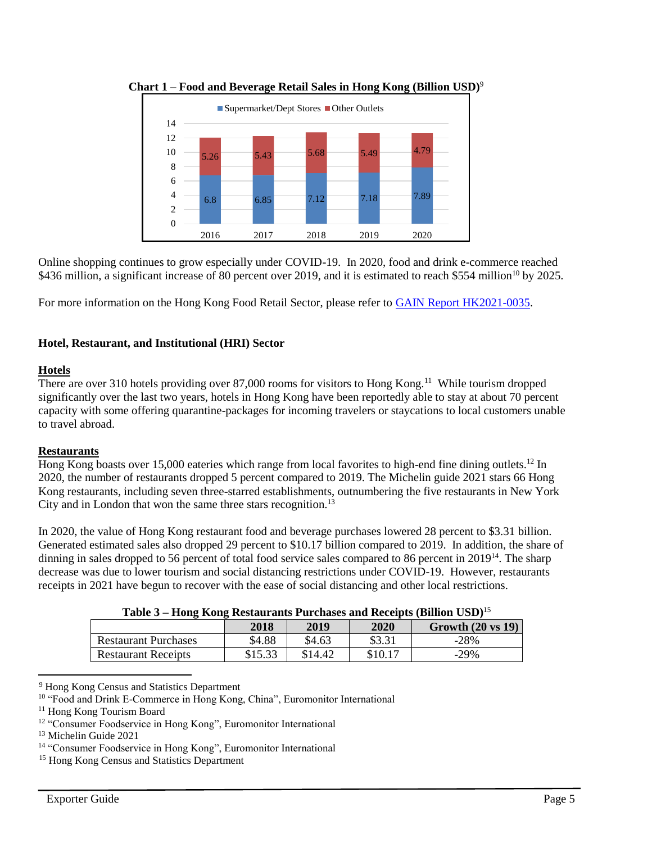

**Chart 1 – Food and Beverage Retail Sales in Hong Kong (Billion USD)**<sup>9</sup>

Online shopping continues to grow especially under COVID-19. In 2020, food and drink e-commerce reached \$436 million, a significant increase of 80 percent over 2019, and it is estimated to reach \$554 million<sup>10</sup> by 2025.

For more information on the Hong Kong Food Retail Sector, please refer to [GAIN Report HK2021-0035.](https://www.usfoods-hongkong.net/wps/wp-content/uploads/Retail-Foods_Hong-Kong_Hong-Kong_06-30-2021.pdf)

# **Hotel, Restaurant, and Institutional (HRI) Sector**

### **Hotels**

There are over 310 hotels providing over 87,000 rooms for visitors to Hong Kong.<sup>11</sup> While tourism dropped significantly over the last two years, hotels in Hong Kong have been reportedly able to stay at about 70 percent capacity with some offering quarantine-packages for incoming travelers or staycations to local customers unable to travel abroad.

# **Restaurants**

Hong Kong boasts over 15,000 eateries which range from local favorites to high-end fine dining outlets.<sup>12</sup> In 2020, the number of restaurants dropped 5 percent compared to 2019. The Michelin guide 2021 stars 66 Hong Kong restaurants, including seven three-starred establishments, outnumbering the five restaurants in New York City and in London that won the same three stars recognition.<sup>13</sup>

In 2020, the value of Hong Kong restaurant food and beverage purchases lowered 28 percent to \$3.31 billion. Generated estimated sales also dropped 29 percent to \$10.17 billion compared to 2019. In addition, the share of dinning in sales dropped to 56 percent of total food service sales compared to 86 percent in 2019<sup>14</sup>. The sharp decrease was due to lower tourism and social distancing restrictions under COVID-19. However, restaurants receipts in 2021 have begun to recover with the ease of social distancing and other local restrictions.

| Table 3 – Hong Kong Restaurants Purchases and Receipts (Billion USD) <sup>15</sup> |  |  |  |
|------------------------------------------------------------------------------------|--|--|--|
|                                                                                    |  |  |  |

|                             | 2018    | 2019    | 2020    | Growth $(20 \text{ vs } 19)$ |
|-----------------------------|---------|---------|---------|------------------------------|
| <b>Restaurant Purchases</b> | \$4.88  | \$4.63  | \$3.31  | $-28%$                       |
| <b>Restaurant Receipts</b>  | \$15.33 | \$14.42 | \$10.17 | $-29%$                       |

 $\overline{\phantom{a}}$ <sup>9</sup> Hong Kong Census and Statistics Department

<sup>&</sup>lt;sup>10</sup> "Food and Drink E-Commerce in Hong Kong, China", Euromonitor International

<sup>11</sup> Hong Kong Tourism Board

<sup>&</sup>lt;sup>12</sup> "Consumer Foodservice in Hong Kong", Euromonitor International

<sup>13</sup> Michelin Guide 2021

<sup>14</sup> "Consumer Foodservice in Hong Kong", Euromonitor International

<sup>15</sup> Hong Kong Census and Statistics Department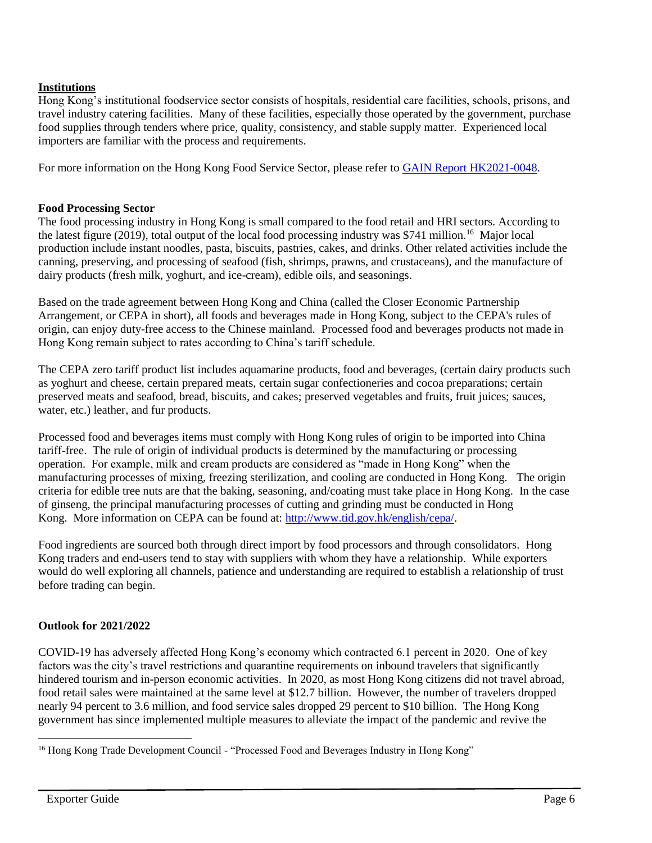# **Institutions**

Hong Kong's institutional foodservice sector consists of hospitals, residential care facilities, schools, prisons, and travel industry catering facilities. Many of these facilities, especially those operated by the government, purchase food supplies through tenders where price, quality, consistency, and stable supply matter. Experienced local importers are familiar with the process and requirements.

For more information on the Hong Kong Food Service Sector, please refer to [GAIN Report HK2021-0048.](https://www.usfoods-hongkong.net/wps/wp-content/uploads/Food-Service-Hotel-Restaurant-Institutional_Hong-Kong_Hong-Kong_09-30-2021.pdf)

#### **Food Processing Sector**

The food processing industry in Hong Kong is small compared to the food retail and HRI sectors. According to the latest figure (2019), total output of the local food processing industry was \$741 million.<sup>16</sup> Major local production include instant noodles, pasta, biscuits, pastries, cakes, and drinks. Other related activities include the canning, preserving, and processing of seafood (fish, shrimps, prawns, and crustaceans), and the manufacture of dairy products (fresh milk, yoghurt, and ice-cream), edible oils, and seasonings.

Based on the trade agreement between Hong Kong and China (called the Closer Economic Partnership Arrangement, or CEPA in short), all foods and beverages made in Hong Kong, subject to the CEPA's rules of origin, can enjoy duty-free access to the Chinese mainland. Processed food and beverages products not made in Hong Kong remain subject to rates according to China's tariff schedule.

The CEPA zero tariff product list includes aquamarine products, food and beverages, (certain dairy products such as yoghurt and cheese, certain prepared meats, certain sugar confectioneries and cocoa preparations; certain preserved meats and seafood, bread, biscuits, and cakes; preserved vegetables and fruits, fruit juices; sauces, water, etc.) leather, and fur products.

Processed food and beverages items must comply with Hong Kong rules of origin to be imported into China tariff-free. The rule of origin of individual products is determined by the manufacturing or processing operation. For example, milk and cream products are considered as "made in Hong Kong" when the manufacturing processes of mixing, freezing sterilization, and cooling are conducted in Hong Kong. The origin criteria for edible tree nuts are that the baking, seasoning, and/coating must take place in Hong Kong. In the case of ginseng, the principal manufacturing processes of cutting and grinding must be conducted in Hong Kong. More information on CEPA can be found at: [http://www.tid.gov.hk/english/cepa/.](http://www.tid.gov.hk/english/cepa/)

Food ingredients are sourced both through direct import by food processors and through consolidators. Hong Kong traders and end-users tend to stay with suppliers with whom they have a relationship. While exporters would do well exploring all channels, patience and understanding are required to establish a relationship of trust before trading can begin.

# **Outlook for 2021/2022**

COVID-19 has adversely affected Hong Kong's economy which contracted 6.1 percent in 2020. One of key factors was the city's travel restrictions and quarantine requirements on inbound travelers that significantly hindered tourism and in-person economic activities. In 2020, as most Hong Kong citizens did not travel abroad, food retail sales were maintained at the same level at \$12.7 billion. However, the number of travelers dropped nearly 94 percent to 3.6 million, and food service sales dropped 29 percent to \$10 billion. The Hong Kong government has since implemented multiple measures to alleviate the impact of the pandemic and revive the

<sup>&</sup>lt;sup>16</sup> Hong Kong Trade Development Council - "Processed Food and Beverages Industry in Hong Kong"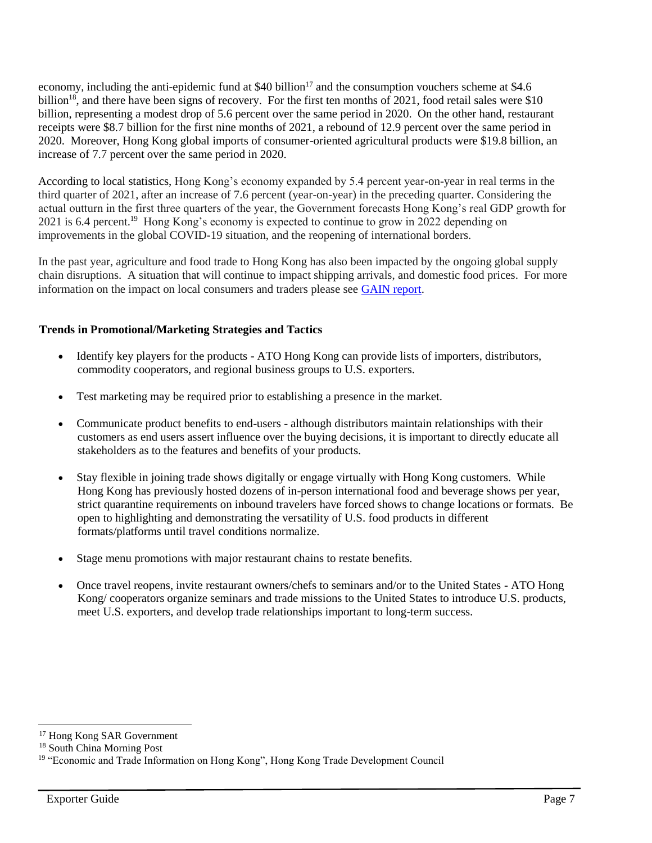economy, including the anti-epidemic fund at \$40 billion<sup>17</sup> and the consumption vouchers scheme at \$4.6 billion<sup>18</sup>, and there have been signs of recovery. For the first ten months of 2021, food retail sales were \$10 billion, representing a modest drop of 5.6 percent over the same period in 2020. On the other hand, restaurant receipts were \$8.7 billion for the first nine months of 2021, a rebound of 12.9 percent over the same period in 2020. Moreover, Hong Kong global imports of consumer-oriented agricultural products were \$19.8 billion, an increase of 7.7 percent over the same period in 2020.

According to local statistics, Hong Kong's economy expanded by 5.4 percent year-on-year in real terms in the third quarter of 2021, after an increase of 7.6 percent (year-on-year) in the preceding quarter. Considering the actual outturn in the first three quarters of the year, the Government forecasts Hong Kong's real GDP growth for 2021 is 6.4 percent.<sup>19</sup> Hong Kong's economy is expected to continue to grow in 2022 depending on improvements in the global COVID-19 situation, and the reopening of international borders.

In the past year, agriculture and food trade to Hong Kong has also been impacted by the ongoing global supply chain disruptions. A situation that will continue to impact shipping arrivals, and domestic food prices. For more information on the impact on local consumers and traders please see [GAIN report.](https://apps.fas.usda.gov/newgainapi/api/Report/DownloadReportByFileName?fileName=Hong%20Kong%20Food%20Consumers%20Feel%20the%20Pinch%20of%20Supply%20Chain%20Disruptions_Hong%20Kong_Hong%20Kong_11-14-2021)

### **Trends in Promotional/Marketing Strategies and Tactics**

- Identify key players for the products ATO Hong Kong can provide lists of importers, distributors, commodity cooperators, and regional business groups to U.S. exporters.
- Test marketing may be required prior to establishing a presence in the market.
- Communicate product benefits to end-users although distributors maintain relationships with their customers as end users assert influence over the buying decisions, it is important to directly educate all stakeholders as to the features and benefits of your products.
- Stay flexible in joining trade shows digitally or engage virtually with Hong Kong customers. While Hong Kong has previously hosted dozens of in-person international food and beverage shows per year, strict quarantine requirements on inbound travelers have forced shows to change locations or formats. Be open to highlighting and demonstrating the versatility of U.S. food products in different formats/platforms until travel conditions normalize.
- Stage menu promotions with major restaurant chains to restate benefits.
- Once travel reopens, invite restaurant owners/chefs to seminars and/or to the United States ATO Hong Kong/ cooperators organize seminars and trade missions to the United States to introduce U.S. products, meet U.S. exporters, and develop trade relationships important to long-term success.

<sup>17</sup> Hong Kong SAR Government

<sup>18</sup> South China Morning Post

<sup>&</sup>lt;sup>19</sup> "Economic and Trade Information on Hong Kong", Hong Kong Trade Development Council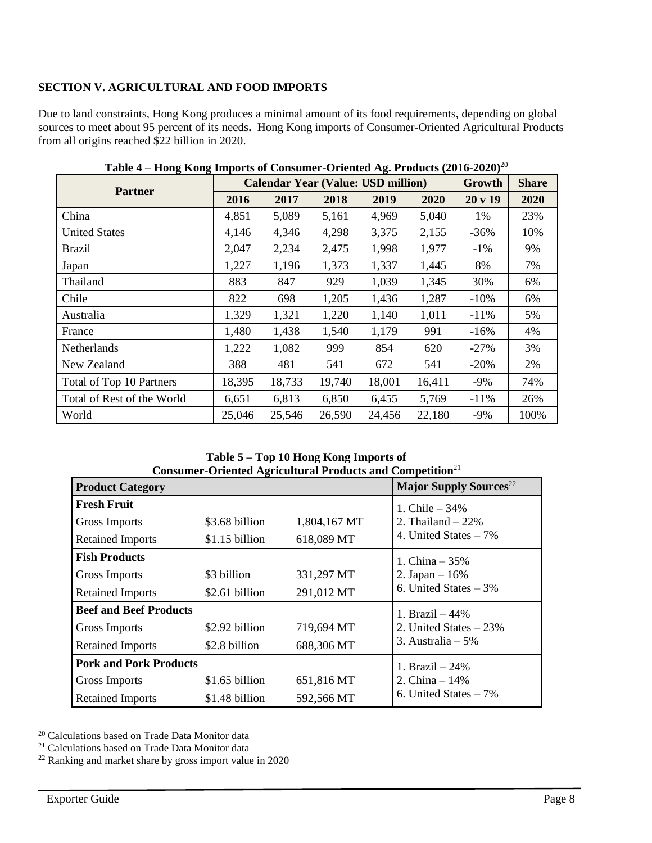# **SECTION V. AGRICULTURAL AND FOOD IMPORTS**

Due to land constraints, Hong Kong produces a minimal amount of its food requirements, depending on global sources to meet about 95 percent of its needs**.** Hong Kong imports of Consumer-Oriented Agricultural Products from all origins reached \$22 billion in 2020.

|                            |        | <b>Calendar Year (Value: USD million)</b> | Growth | <b>Share</b> |        |         |      |
|----------------------------|--------|-------------------------------------------|--------|--------------|--------|---------|------|
| <b>Partner</b>             | 2016   | 2017                                      | 2018   | 2019         | 2020   | 20 v 19 | 2020 |
| China                      | 4,851  | 5,089                                     | 5,161  | 4,969        | 5,040  | 1%      | 23%  |
| <b>United States</b>       | 4,146  | 4,346                                     | 4,298  | 3,375        | 2,155  | $-36%$  | 10%  |
| Brazil                     | 2,047  | 2,234                                     | 2,475  | 1,998        | 1,977  | $-1\%$  | 9%   |
| Japan                      | 1,227  | 1,196                                     | 1,373  | 1,337        | 1,445  | 8%      | 7%   |
| Thailand                   | 883    | 847                                       | 929    | 1,039        | 1,345  | 30%     | 6%   |
| Chile                      | 822    | 698                                       | 1,205  | 1,436        | 1,287  | $-10%$  | 6%   |
| Australia                  | 1,329  | 1,321                                     | 1,220  | 1,140        | 1,011  | $-11%$  | 5%   |
| France                     | 1,480  | 1,438                                     | 1,540  | 1,179        | 991    | $-16%$  | 4%   |
| <b>Netherlands</b>         | 1,222  | 1,082                                     | 999    | 854          | 620    | $-27%$  | 3%   |
| New Zealand                | 388    | 481                                       | 541    | 672          | 541    | $-20%$  | 2%   |
| Total of Top 10 Partners   | 18,395 | 18,733                                    | 19,740 | 18,001       | 16,411 | $-9%$   | 74%  |
| Total of Rest of the World | 6,651  | 6,813                                     | 6,850  | 6,455        | 5,769  | $-11%$  | 26%  |
| World                      | 25,046 | 25,546                                    | 26,590 | 24,456       | 22,180 | $-9\%$  | 100% |

**Table 4 – Hong Kong Imports of Consumer-Oriented Ag. Products (2016-2020)**<sup>20</sup>

**Table 5 – Top 10 Hong Kong Imports of Consumer-Oriented Agricultural Products and Competition**<sup>21</sup>

| Consumer Oriented rightentural Frounces and Competition |                |              |                                           |  |  |
|---------------------------------------------------------|----------------|--------------|-------------------------------------------|--|--|
| <b>Product Category</b>                                 |                |              | <b>Major Supply Sources</b> <sup>22</sup> |  |  |
| <b>Fresh Fruit</b>                                      |                |              | 1. Chile $-34%$                           |  |  |
| Gross Imports                                           | \$3.68 billion | 1,804,167 MT | 2. Thailand $-22\%$                       |  |  |
| <b>Retained Imports</b>                                 | \$1.15 billion | 618,089 MT   | 4. United States – 7%                     |  |  |
| <b>Fish Products</b>                                    |                |              | 1. China $-35%$                           |  |  |
| Gross Imports                                           | \$3 billion    | 331,297 MT   | 2. Japan $-16%$                           |  |  |
| <b>Retained Imports</b>                                 | \$2.61 billion | 291,012 MT   | 6. United States $-3\%$                   |  |  |
| <b>Beef and Beef Products</b>                           |                |              | 1. Brazil $-44%$                          |  |  |
| Gross Imports                                           | \$2.92 billion | 719,694 MT   | 2. United States $-23%$                   |  |  |
| <b>Retained Imports</b>                                 | \$2.8 billion  | 688,306 MT   | 3. Australia $-5\%$                       |  |  |
| <b>Pork and Pork Products</b>                           |                |              | 1. Brazil $-24%$                          |  |  |
| Gross Imports                                           | \$1.65 billion | 651,816 MT   | 2. China $-14%$                           |  |  |
| <b>Retained Imports</b>                                 | \$1.48 billion | 592,566 MT   | 6. United States $-7\%$                   |  |  |

<sup>20</sup> Calculations based on Trade Data Monitor data

<sup>21</sup> Calculations based on Trade Data Monitor data

<sup>22</sup> Ranking and market share by gross import value in 2020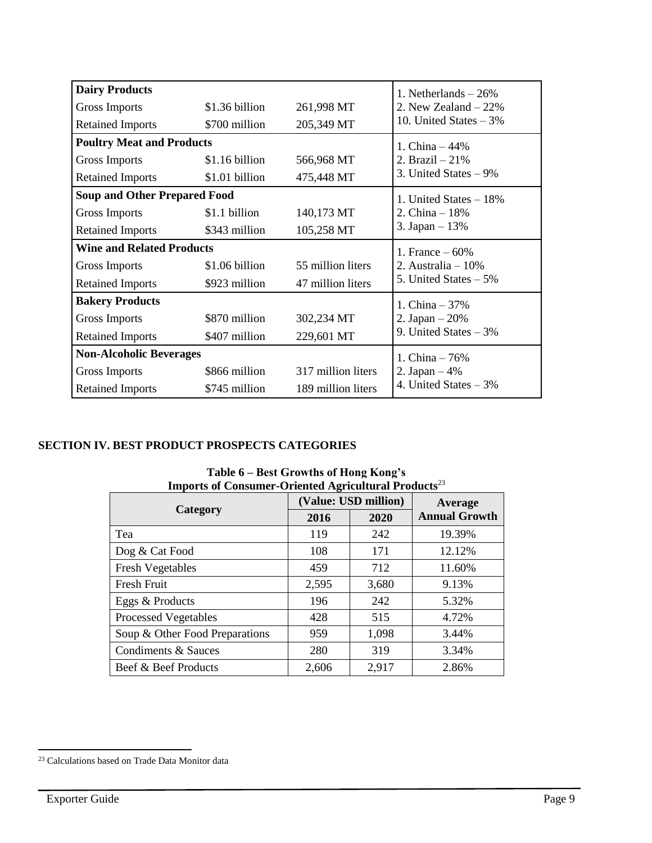| <b>Dairy Products</b>               |                  |                    | 1. Netherlands $-26%$    |
|-------------------------------------|------------------|--------------------|--------------------------|
| Gross Imports                       | $$1.36$ billion  | 261,998 MT         | 2. New Zealand $-22\%$   |
| <b>Retained Imports</b>             | \$700 million    | 205,349 MT         | 10. United States $-3\%$ |
| <b>Poultry Meat and Products</b>    |                  |                    | 1. China $-44%$          |
| Gross Imports                       | \$1.16 billion   | 566,968 MT         | 2. Brazil $-21%$         |
| <b>Retained Imports</b>             | \$1.01 billion   | 475,448 MT         | 3. United States $-9\%$  |
| <b>Soup and Other Prepared Food</b> |                  |                    | 1. United States $-18\%$ |
| Gross Imports                       | \$1.1 billion    | 140,173 MT         | 2. China $-18%$          |
| <b>Retained Imports</b>             | \$343 million    | 105,258 MT         | 3. Japan $-13%$          |
| <b>Wine and Related Products</b>    | 1. France $-60%$ |                    |                          |
| Gross Imports                       | \$1.06 billion   | 55 million liters  | 2. Australia $-10\%$     |
| <b>Retained Imports</b>             | \$923 million    | 47 million liters  | 5. United States - 5%    |
| <b>Bakery Products</b>              |                  |                    | 1. China $-37%$          |
| Gross Imports                       | \$870 million    | 302,234 MT         | 2. Japan $-20%$          |
| <b>Retained Imports</b>             | \$407 million    | 229,601 MT         | 9. United States $-3\%$  |
| <b>Non-Alcoholic Beverages</b>      |                  |                    | 1. China $-76%$          |
| Gross Imports                       | \$866 million    | 317 million liters | 2. Japan $-4%$           |
| <b>Retained Imports</b>             | \$745 million    | 189 million liters | 4. United States $-3\%$  |

# **SECTION IV. BEST PRODUCT PROSPECTS CATEGORIES**

| Imports of Consumer-Oriented Agricultural Products <sup>23</sup> |       |                      |                      |  |
|------------------------------------------------------------------|-------|----------------------|----------------------|--|
|                                                                  |       | (Value: USD million) | Average              |  |
| Category                                                         | 2016  | 2020                 | <b>Annual Growth</b> |  |
| Tea                                                              | 119   | 242                  | 19.39%               |  |
| Dog & Cat Food                                                   | 108   | 171                  | 12.12%               |  |
| <b>Fresh Vegetables</b>                                          | 459   | 712                  | 11.60%               |  |
| <b>Fresh Fruit</b>                                               | 2,595 | 3,680                | 9.13%                |  |
| Eggs & Products                                                  | 196   | 242                  | 5.32%                |  |
| <b>Processed Vegetables</b>                                      | 428   | 515                  | 4.72%                |  |
| Soup & Other Food Preparations                                   | 959   | 1,098                | 3.44%                |  |
| Condiments & Sauces                                              | 280   | 319                  | 3.34%                |  |
| Beef & Beef Products                                             | 2,606 | 2,917                | 2.86%                |  |

**Table 6 – Best Growths of Hong Kong's Imports of Consumer-Oriented Agricultural Products**<sup>23</sup>

 $\overline{a}$ <sup>23</sup> Calculations based on Trade Data Monitor data